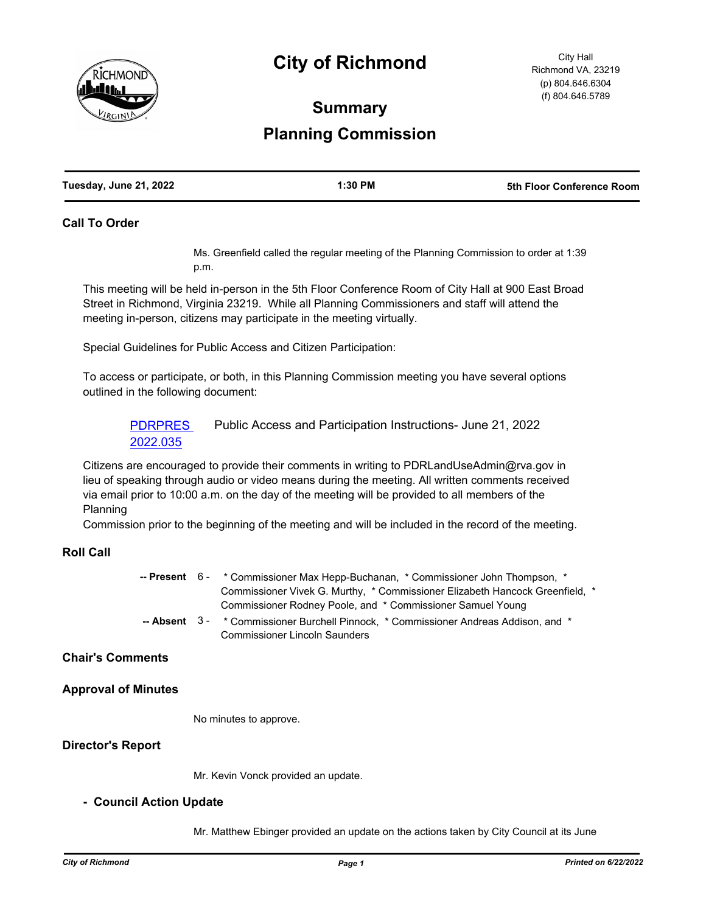

## **City of Richmond**

# **Summary Planning Commission**

## **Call To Order**

Ms. Greenfield called the regular meeting of the Planning Commission to order at 1:39 p.m.

This meeting will be held in-person in the 5th Floor Conference Room of City Hall at 900 East Broad Street in Richmond, Virginia 23219. While all Planning Commissioners and staff will attend the meeting in-person, citizens may participate in the meeting virtually.

Special Guidelines for Public Access and Citizen Participation:

To access or participate, or both, in this Planning Commission meeting you have several options outlined in the following document:

[PDRPRES](http://richmondva.legistar.com/gateway.aspx?m=l&id=/matter.aspx?key=32344)  2022.035 Public Access and Participation Instructions- June 21, 2022

Citizens are encouraged to provide their comments in writing to PDRLandUseAdmin@rva.gov in lieu of speaking through audio or video means during the meeting. All written comments received via email prior to 10:00 a.m. on the day of the meeting will be provided to all members of the Planning

Commission prior to the beginning of the meeting and will be included in the record of the meeting.

## **Roll Call**

|  | -- Present 6 - * Commissioner Max Hepp-Buchanan, * Commissioner John Thompson, *            |
|--|---------------------------------------------------------------------------------------------|
|  | Commissioner Vivek G. Murthy, * Commissioner Elizabeth Hancock Greenfield, *                |
|  | Commissioner Rodney Poole, and * Commissioner Samuel Young                                  |
|  | <b>-- Absent</b> 3 - * Commissioner Burchell Pinnock, * Commissioner Andreas Addison, and * |
|  | <b>Commissioner Lincoln Saunders</b>                                                        |

## **Chair's Comments**

## **Approval of Minutes**

No minutes to approve.

## **Director's Report**

Mr. Kevin Vonck provided an update.

## **- Council Action Update**

Mr. Matthew Ebinger provided an update on the actions taken by City Council at its June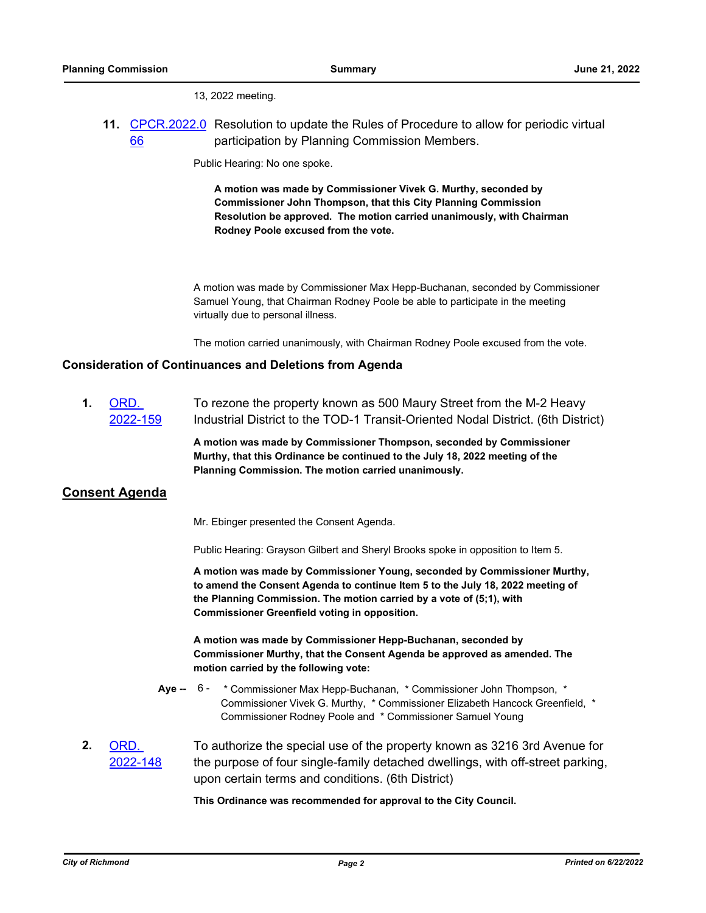13, 2022 meeting.

**11.** [CPCR.2022.0](http://richmondva.legistar.com/gateway.aspx?m=l&id=/matter.aspx?key=32340) Resolution to update the Rules of Procedure to allow for periodic virtual 66 participation by Planning Commission Members.

Public Hearing: No one spoke.

**A motion was made by Commissioner Vivek G. Murthy, seconded by Commissioner John Thompson, that this City Planning Commission Resolution be approved. The motion carried unanimously, with Chairman Rodney Poole excused from the vote.**

A motion was made by Commissioner Max Hepp-Buchanan, seconded by Commissioner Samuel Young, that Chairman Rodney Poole be able to participate in the meeting virtually due to personal illness.

The motion carried unanimously, with Chairman Rodney Poole excused from the vote.

## **Consideration of Continuances and Deletions from Agenda**

**1.** ORD. [2022-159](http://richmondva.legistar.com/gateway.aspx?m=l&id=/matter.aspx?key=31960) To rezone the property known as 500 Maury Street from the M-2 Heavy Industrial District to the TOD-1 Transit-Oriented Nodal District. (6th District)

> **A motion was made by Commissioner Thompson, seconded by Commissioner Murthy, that this Ordinance be continued to the July 18, 2022 meeting of the Planning Commission. The motion carried unanimously.**

## **Consent Agenda**

Mr. Ebinger presented the Consent Agenda.

Public Hearing: Grayson Gilbert and Sheryl Brooks spoke in opposition to Item 5.

**A motion was made by Commissioner Young, seconded by Commissioner Murthy, to amend the Consent Agenda to continue Item 5 to the July 18, 2022 meeting of the Planning Commission. The motion carried by a vote of (5;1), with Commissioner Greenfield voting in opposition.**

**A motion was made by Commissioner Hepp-Buchanan, seconded by Commissioner Murthy, that the Consent Agenda be approved as amended. The motion carried by the following vote:**

- Aye -- 6 \* Commissioner Max Hepp-Buchanan, \* Commissioner John Thompson, \* Commissioner Vivek G. Murthy, \* Commissioner Elizabeth Hancock Greenfield, \* Commissioner Rodney Poole and \* Commissioner Samuel Young
- **2.** ORD. [2022-148](http://richmondva.legistar.com/gateway.aspx?m=l&id=/matter.aspx?key=31728) To authorize the special use of the property known as 3216 3rd Avenue for the purpose of four single-family detached dwellings, with off-street parking, upon certain terms and conditions. (6th District)

**This Ordinance was recommended for approval to the City Council.**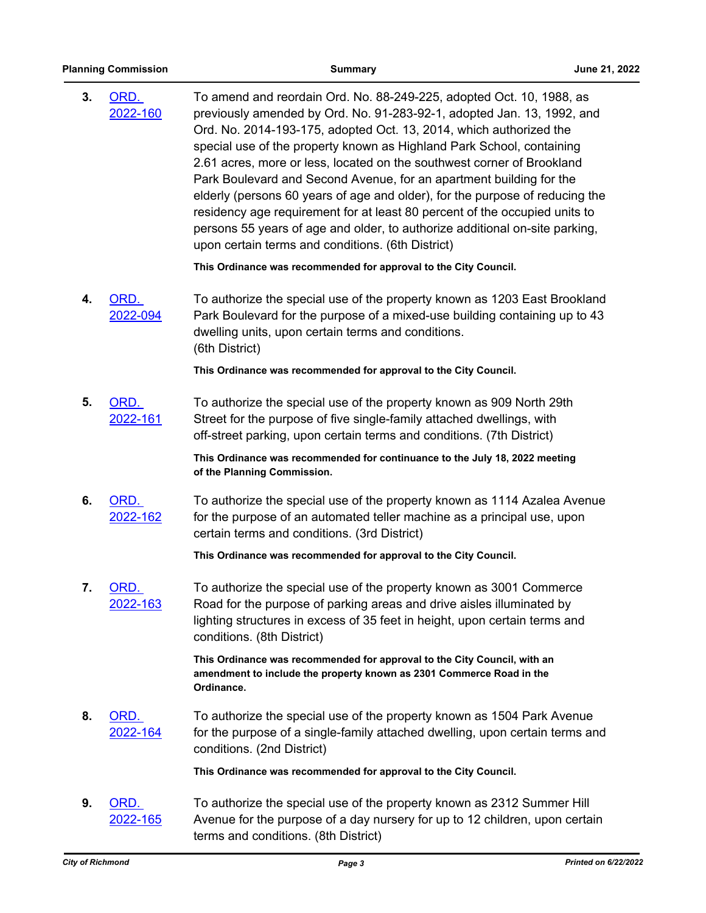| 3. | ORD.<br>2022-160 | To amend and reordain Ord. No. 88-249-225, adopted Oct. 10, 1988, as<br>previously amended by Ord. No. 91-283-92-1, adopted Jan. 13, 1992, and<br>Ord. No. 2014-193-175, adopted Oct. 13, 2014, which authorized the<br>special use of the property known as Highland Park School, containing<br>2.61 acres, more or less, located on the southwest corner of Brookland<br>Park Boulevard and Second Avenue, for an apartment building for the<br>elderly (persons 60 years of age and older), for the purpose of reducing the<br>residency age requirement for at least 80 percent of the occupied units to<br>persons 55 years of age and older, to authorize additional on-site parking,<br>upon certain terms and conditions. (6th District) |
|----|------------------|--------------------------------------------------------------------------------------------------------------------------------------------------------------------------------------------------------------------------------------------------------------------------------------------------------------------------------------------------------------------------------------------------------------------------------------------------------------------------------------------------------------------------------------------------------------------------------------------------------------------------------------------------------------------------------------------------------------------------------------------------|
|    |                  | This Ordinance was recommended for approval to the City Council.                                                                                                                                                                                                                                                                                                                                                                                                                                                                                                                                                                                                                                                                                 |
| 4. | ORD.<br>2022-094 | To authorize the special use of the property known as 1203 East Brookland<br>Park Boulevard for the purpose of a mixed-use building containing up to 43<br>dwelling units, upon certain terms and conditions.<br>(6th District)                                                                                                                                                                                                                                                                                                                                                                                                                                                                                                                  |
|    |                  | This Ordinance was recommended for approval to the City Council.                                                                                                                                                                                                                                                                                                                                                                                                                                                                                                                                                                                                                                                                                 |
| 5. | ORD.<br>2022-161 | To authorize the special use of the property known as 909 North 29th<br>Street for the purpose of five single-family attached dwellings, with<br>off-street parking, upon certain terms and conditions. (7th District)                                                                                                                                                                                                                                                                                                                                                                                                                                                                                                                           |
|    |                  | This Ordinance was recommended for continuance to the July 18, 2022 meeting<br>of the Planning Commission.                                                                                                                                                                                                                                                                                                                                                                                                                                                                                                                                                                                                                                       |
| 6. | ORD.<br>2022-162 | To authorize the special use of the property known as 1114 Azalea Avenue<br>for the purpose of an automated teller machine as a principal use, upon<br>certain terms and conditions. (3rd District)                                                                                                                                                                                                                                                                                                                                                                                                                                                                                                                                              |
|    |                  | This Ordinance was recommended for approval to the City Council.                                                                                                                                                                                                                                                                                                                                                                                                                                                                                                                                                                                                                                                                                 |
| 7. | ORD.<br>2022-163 | To authorize the special use of the property known as 3001 Commerce<br>Road for the purpose of parking areas and drive aisles illuminated by<br>lighting structures in excess of 35 feet in height, upon certain terms and<br>conditions. (8th District)                                                                                                                                                                                                                                                                                                                                                                                                                                                                                         |
|    |                  | This Ordinance was recommended for approval to the City Council, with an<br>amendment to include the property known as 2301 Commerce Road in the<br>Ordinance.                                                                                                                                                                                                                                                                                                                                                                                                                                                                                                                                                                                   |
| 8. | ORD.<br>2022-164 | To authorize the special use of the property known as 1504 Park Avenue<br>for the purpose of a single-family attached dwelling, upon certain terms and<br>conditions. (2nd District)                                                                                                                                                                                                                                                                                                                                                                                                                                                                                                                                                             |
|    |                  | This Ordinance was recommended for approval to the City Council.                                                                                                                                                                                                                                                                                                                                                                                                                                                                                                                                                                                                                                                                                 |
| 9. | ORD.<br>2022-165 | To authorize the special use of the property known as 2312 Summer Hill<br>Avenue for the purpose of a day nursery for up to 12 children, upon certain<br>terms and conditions. (8th District)                                                                                                                                                                                                                                                                                                                                                                                                                                                                                                                                                    |